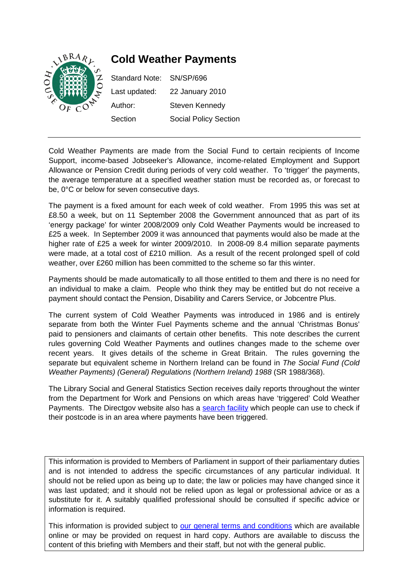

# **Cold Weather Payments**

| Standard Note: SN/SP/696 |                              |
|--------------------------|------------------------------|
| Last updated:            | 22 January 2010              |
| Author:                  | Steven Kennedy               |
| Section                  | <b>Social Policy Section</b> |

Cold Weather Payments are made from the Social Fund to certain recipients of Income Support, income-based Jobseeker's Allowance, income-related Employment and Support Allowance or Pension Credit during periods of very cold weather. To 'trigger' the payments, the average temperature at a specified weather station must be recorded as, or forecast to be, 0°C or below for seven consecutive days.

The payment is a fixed amount for each week of cold weather. From 1995 this was set at £8.50 a week, but on 11 September 2008 the Government announced that as part of its 'energy package' for winter 2008/2009 only Cold Weather Payments would be increased to £25 a week. In September 2009 it was announced that payments would also be made at the higher rate of £25 a week for winter 2009/2010. In 2008-09 8.4 million separate payments were made, at a total cost of £210 million. As a result of the recent prolonged spell of cold weather, over £260 million has been committed to the scheme so far this winter.

Payments should be made automatically to all those entitled to them and there is no need for an individual to make a claim. People who think they may be entitled but do not receive a payment should contact the Pension, Disability and Carers Service, or Jobcentre Plus.

The current system of Cold Weather Payments was introduced in 1986 and is entirely separate from both the Winter Fuel Payments scheme and the annual 'Christmas Bonus' paid to pensioners and claimants of certain other benefits. This note describes the current rules governing Cold Weather Payments and outlines changes made to the scheme over recent years. It gives details of the scheme in Great Britain. The rules governing the separate but equivalent scheme in Northern Ireland can be found in *The Social Fund (Cold Weather Payments) (General) Regulations (Northern Ireland) 1988* (SR 1988/368).

The Library Social and General Statistics Section receives daily reports throughout the winter from the Department for Work and Pensions on which areas have 'triggered' Cold Weather Payments. The Directgov website also has a [search facility](http://pensions.direct.gov.uk/en/cold-weather-payment/home.asp) which people can use to check if their postcode is in an area where payments have been triggered.

This information is provided to Members of Parliament in support of their parliamentary duties and is not intended to address the specific circumstances of any particular individual. It should not be relied upon as being up to date; the law or policies may have changed since it was last updated; and it should not be relied upon as legal or professional advice or as a substitute for it. A suitably qualified professional should be consulted if specific advice or information is required.

This information is provided subject to our general terms and conditions which are available online or may be provided on request in hard copy. Authors are available to discuss the content of this briefing with Members and their staff, but not with the general public.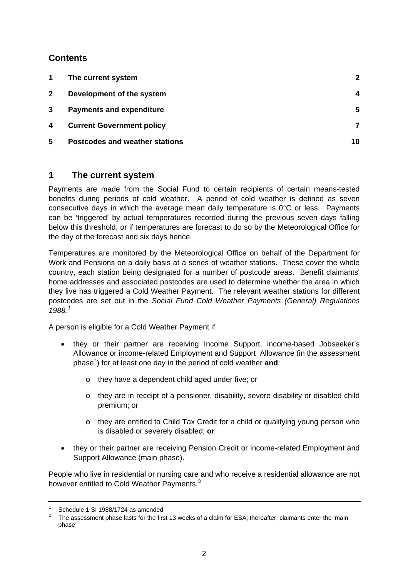# <span id="page-1-0"></span>**Contents**

| The current system                    |    |
|---------------------------------------|----|
| Development of the system             | 4  |
| <b>Payments and expenditure</b>       | 5  |
| <b>Current Government policy</b>      |    |
| <b>Postcodes and weather stations</b> | 10 |
|                                       |    |

# **1 The current system**

Payments are made from the Social Fund to certain recipients of certain means-tested benefits during periods of cold weather. A period of cold weather is defined as seven consecutive days in which the average mean daily temperature is 0°C or less. Payments can be 'triggered' by actual temperatures recorded during the previous seven days falling below this threshold, or if temperatures are forecast to do so by the Meteorological Office for the day of the forecast and six days hence.

Temperatures are monitored by the Meteorological Office on behalf of the Department for Work and Pensions on a daily basis at a series of weather stations. These cover the whole country, each station being designated for a number of postcode areas. Benefit claimants' home addresses and associated postcodes are used to determine whether the area in which they live has triggered a Cold Weather Payment. The relevant weather stations for different postcodes are set out in the *Social Fund Cold Weather Payments (General) Regulations 1988.[1](#page-1-1)*

A person is eligible for a Cold Weather Payment if

- they or their partner are receiving Income Support, income-based Jobseeker's Allowance or income-related Employment and Support Allowance (in the assessment phase<sup>[2](#page-1-2)</sup>) for at least one day in the period of cold weather and:
	- o they have a dependent child aged under five; or
	- o they are in receipt of a pensioner, disability, severe disability or disabled child premium; or
	- o they are entitled to Child Tax Credit for a child or qualifying young person who is disabled or severely disabled; **or**
- they or their partner are receiving Pension Credit or income-related Employment and Support Allowance (main phase).

<span id="page-1-3"></span>People who live in residential or nursing care and who receive a residential allowance are not however entitled to Cold Weather Payments.<sup>[3](#page-1-3)</sup>

<sup>1</sup> Schedule 1 SI 1988/1724 as amended

<span id="page-1-2"></span><span id="page-1-1"></span><sup>2</sup> The assessment phase lasts for the first 13 weeks of a claim for ESA; thereafter, claimants enter the 'main phase'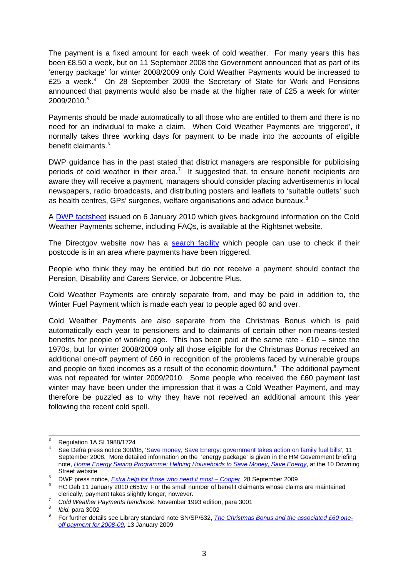The payment is a fixed amount for each week of cold weather. For many years this has been £8.50 a week, but on 11 September 2008 the Government announced that as part of its 'energy package' for winter 2008/2009 only Cold Weather Payments would be increased to £25 a week.<sup>[4](#page-2-0)</sup> On 28 September 2009 the Secretary of State for Work and Pensions announced that payments would also be made at the higher rate of £25 a week for winter 2009/2010.[5](#page-2-1)

Payments should be made automatically to all those who are entitled to them and there is no need for an individual to make a claim. When Cold Weather Payments are 'triggered', it normally takes three working days for payment to be made into the accounts of eligible benefit claimants.<sup>[6](#page-2-2)</sup>

DWP guidance has in the past stated that district managers are responsible for publicising periods of cold weather in their area.<sup>[7](#page-2-3)</sup> It suggested that, to ensure benefit recipients are aware they will receive a payment, managers should consider placing advertisements in local newspapers, radio broadcasts, and distributing posters and leaflets to 'suitable outlets' such as health centres, GPs' surgeries, welfare organisations and advice bureaux.<sup>[8](#page-2-4)</sup>

A [DWP factsheet](http://www.rightsnet.org.uk/pdfs/dwp_cold_weather_payments_jan_2010) issued on 6 January 2010 which gives background information on the Cold Weather Payments scheme, including FAQs, is available at the Rightsnet website.

The Directgov website now has a [search facility](http://pensions.direct.gov.uk/en/cold-weather-payment/home.asp) which people can use to check if their postcode is in an area where payments have been triggered.

People who think they may be entitled but do not receive a payment should contact the Pension, Disability and Carers Service, or Jobcentre Plus.

Cold Weather Payments are entirely separate from, and may be paid in addition to, the Winter Fuel Payment which is made each year to people aged 60 and over.

Cold Weather Payments are also separate from the Christmas Bonus which is paid automatically each year to pensioners and to claimants of certain other non-means-tested benefits for people of working age. This has been paid at the same rate  $\cdot$  £10 – since the 1970s, but for winter 2008/2009 only all those eligible for the Christmas Bonus received an additional one-off payment of £60 in recognition of the problems faced by vulnerable groups and people on fixed incomes as a result of the economic downturn. $9$  The additional payment was not repeated for winter 2009/2010. Some people who received the £60 payment last winter may have been under the impression that it was a Cold Weather Payment, and may therefore be puzzled as to why they have not received an additional amount this year following the recent cold spell.

<span id="page-2-3"></span><sup>7</sup> Cold Weather Payments handbook, November 1993 edition, para 3001

<sup>-&</sup>lt;br>3 Regulation 1A SI 1988/1724

<span id="page-2-0"></span><sup>4</sup> See Defra press notice 300/08, ['Save money, Save Energy: government takes action on family fuel bills',](http://www.defra.gov.uk/news/2008/080911a.htm) 11 September 2008. More detailed information on the 'energy package' is given in the HM Government briefing note, *[Home Energy Saving Programme: Helping Households to Save Money, Save Energy](http://www.number10.gov.uk/wp-content/uploads/energy-saving-programme110908.pdf)*, at the 10 Downing Street website

<span id="page-2-1"></span><sup>&</sup>lt;sup>5</sup> DWP press notice, *Extra help for those who need it most – Cooper*, 28 September 2009

<span id="page-2-2"></span>HC Deb 11 January 2010 c651w For the small number of benefit claimants whose claims are maintained clerically, payment takes slightly longer, however.

<span id="page-2-5"></span><span id="page-2-4"></span><sup>&</sup>lt;sup>8</sup> *Ibid.* para 3002

For further details see Library standard note SN/SP/632, *[The Christmas Bonus and the associated £60 one](http://pims.parliament.uk:81/PIMS/Static%20Files/Extended%20File%20Scan%20Files/LIBRARY_OTHER_PAPERS/STANDARD_NOTE/snsp-00632.pdf)[off payment for 2008-09](http://pims.parliament.uk:81/PIMS/Static%20Files/Extended%20File%20Scan%20Files/LIBRARY_OTHER_PAPERS/STANDARD_NOTE/snsp-00632.pdf)*, 13 January 2009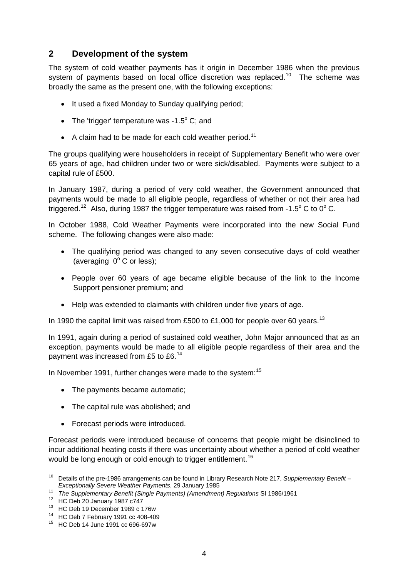# <span id="page-3-0"></span>**2 Development of the system**

The system of cold weather payments has it origin in December 1986 when the previous system of payments based on local office discretion was replaced.<sup>[10](#page-3-1)</sup> The scheme was broadly the same as the present one, with the following exceptions:

- It used a fixed Monday to Sunday qualifying period;
- The 'trigger' temperature was  $-1.5^{\circ}$  C; and
- A claim had to be made for each cold weather period.<sup>[11](#page-3-2)</sup>

The groups qualifying were householders in receipt of Supplementary Benefit who were over 65 years of age, had children under two or were sick/disabled. Payments were subject to a capital rule of £500.

In January 1987, during a period of very cold weather, the Government announced that payments would be made to all eligible people, regardless of whether or not their area had triggered.<sup>[12](#page-3-3)</sup> Also, during 1987 the trigger temperature was raised from -1.5 $^{\circ}$  C to 0 $^{\circ}$  C.

In October 1988, Cold Weather Payments were incorporated into the new Social Fund scheme. The following changes were also made:

- The qualifying period was changed to any seven consecutive days of cold weather (averaging  $0^\circ$  C or less);
- People over 60 years of age became eligible because of the link to the Income Support pensioner premium; and
- Help was extended to claimants with children under five years of age.

In 1990 the capital limit was raised from £500 to £1,000 for people over 60 years.<sup>[13](#page-3-4)</sup>

In 1991, again during a period of sustained cold weather, John Major announced that as an exception, payments would be made to all eligible people regardless of their area and the payment was increased from £5 to £6.<sup>[14](#page-3-5)</sup>

In November 1991, further changes were made to the system:<sup>[15](#page-3-6)</sup>

- The payments became automatic;
- The capital rule was abolished: and
- Forecast periods were introduced.

<span id="page-3-7"></span>Forecast periods were introduced because of concerns that people might be disinclined to incur additional heating costs if there was uncertainty about whether a period of cold weather would be long enough or cold enough to trigger entitlement.<sup>[16](#page-3-7)</sup>

<span id="page-3-1"></span><sup>10</sup> Details of the pre-1986 arrangements can be found in Library Research Note 217, *Supplementary Benefit – Exceptionally Severe Weather Payments, 29 January 1985*<br><sup>11</sup> *The Supplementary Benefit (Single Payments) (Amendment) Regulations SI 1986/1961*<br><sup>12</sup> HC Deb 20 January 1987 c747

<span id="page-3-2"></span>

<span id="page-3-4"></span><span id="page-3-3"></span><sup>13</sup> HC Deb 19 December 1989 c 176w

<span id="page-3-5"></span><sup>14</sup> HC Deb 7 February 1991 cc 408-409

<span id="page-3-6"></span><sup>15</sup> HC Deb 14 June 1991 cc 696-697w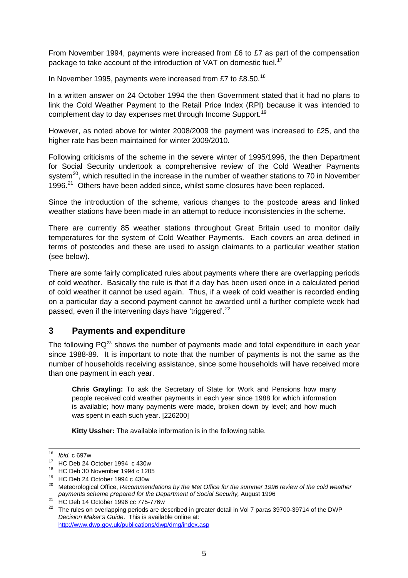<span id="page-4-0"></span>From November 1994, payments were increased from £6 to £7 as part of the compensation package to take account of the introduction of VAT on domestic fuel.<sup>[17](#page-4-1)</sup>

In November 1995, payments were increased from £7 to £8.50. $^{18}$  $^{18}$  $^{18}$ 

In a written answer on 24 October 1994 the then Government stated that it had no plans to link the Cold Weather Payment to the Retail Price Index (RPI) because it was intended to complement day to day expenses met through Income Support.<sup>[19](#page-4-3)</sup>

However, as noted above for winter 2008/2009 the payment was increased to £25, and the higher rate has been maintained for winter 2009/2010.

Following criticisms of the scheme in the severe winter of 1995/1996, the then Department for Social Security undertook a comprehensive review of the Cold Weather Payments system<sup>[20](#page-4-4)</sup>, which resulted in the increase in the number of weather stations to 70 in November 1996. $21$  Others have been added since, whilst some closures have been replaced.

Since the introduction of the scheme, various changes to the postcode areas and linked weather stations have been made in an attempt to reduce inconsistencies in the scheme.

There are currently 85 weather stations throughout Great Britain used to monitor daily temperatures for the system of Cold Weather Payments. Each covers an area defined in terms of postcodes and these are used to assign claimants to a particular weather station (see below).

There are some fairly complicated rules about payments where there are overlapping periods of cold weather. Basically the rule is that if a day has been used once in a calculated period of cold weather it cannot be used again. Thus, if a week of cold weather is recorded ending on a particular day a second payment cannot be awarded until a further complete week had passed, even if the intervening days have 'triggered'.<sup>[22](#page-4-6)</sup>

## **3 Payments and expenditure**

The following  $PQ^{23}$  $PQ^{23}$  $PQ^{23}$  shows the number of payments made and total expenditure in each year since 1988-89. It is important to note that the number of payments is not the same as the number of households receiving assistance, since some households will have received more than one payment in each year.

**Chris Grayling:** To ask the Secretary of State for Work and Pensions how many people received cold weather payments in each year since 1988 for which information is available; how many payments were made, broken down by level; and how much was spent in each such year. [226200]

**Kitty Ussher:** The available information is in the following table.

 $16$  Ihid. c 697w

<span id="page-4-1"></span><sup>&</sup>lt;sup>17</sup> HC Deb 24 October 1994 c 430w

<sup>18</sup> HC Deb 30 November 1994 c 1205

<span id="page-4-2"></span><sup>19</sup> HC Deb 24 October 1994 c 430w

<span id="page-4-4"></span><span id="page-4-3"></span><sup>&</sup>lt;sup>20</sup> Meteorological Office, *Recommendations by the Met Office for the summer 1996 review of the cold weather payments scheme prepared for the Department of Social Security, August 1996*<br><sup>21</sup> HC Deb 14 October 1996 cc 775-776w

<span id="page-4-7"></span><span id="page-4-6"></span><span id="page-4-5"></span><sup>&</sup>lt;sup>22</sup> The rules on overlapping periods are described in greater detail in Vol 7 paras 39700-39714 of the DWP *Decision Maker's Guide*. This is available online at: <http://www.dwp.gov.uk/publications/dwp/dmg/index.asp>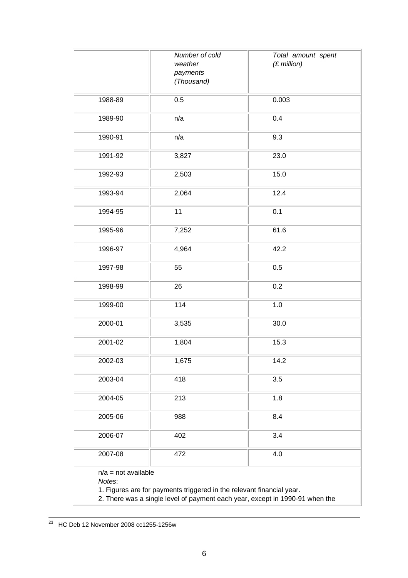|                                                                                                                                                                                          | Number of cold<br>weather<br>payments<br>(Thousand) | Total amount spent<br>$(E$ million) |
|------------------------------------------------------------------------------------------------------------------------------------------------------------------------------------------|-----------------------------------------------------|-------------------------------------|
| 1988-89                                                                                                                                                                                  | 0.5                                                 | 0.003                               |
| 1989-90                                                                                                                                                                                  | n/a                                                 | 0.4                                 |
| 1990-91                                                                                                                                                                                  | n/a                                                 | 9.3                                 |
| 1991-92                                                                                                                                                                                  | 3,827                                               | 23.0                                |
| 1992-93                                                                                                                                                                                  | 2,503                                               | 15.0                                |
| 1993-94                                                                                                                                                                                  | 2,064                                               | 12.4                                |
| 1994-95                                                                                                                                                                                  | 11                                                  | 0.1                                 |
| 1995-96                                                                                                                                                                                  | 7,252                                               | 61.6                                |
| 1996-97                                                                                                                                                                                  | 4,964                                               | 42.2                                |
| 1997-98                                                                                                                                                                                  | 55                                                  | 0.5                                 |
| 1998-99                                                                                                                                                                                  | 26                                                  | 0.2                                 |
| 1999-00                                                                                                                                                                                  | 114                                                 | 1.0                                 |
| 2000-01                                                                                                                                                                                  | 3,535                                               | 30.0                                |
| 2001-02                                                                                                                                                                                  | 1,804                                               | 15.3                                |
| 2002-03                                                                                                                                                                                  | 1,675                                               | 14.2                                |
| 2003-04                                                                                                                                                                                  | 418                                                 | 3.5                                 |
| 2004-05                                                                                                                                                                                  | 213                                                 | 1.8                                 |
| 2005-06                                                                                                                                                                                  | 988                                                 | 8.4                                 |
| 2006-07                                                                                                                                                                                  | 402                                                 | 3.4                                 |
| 2007-08                                                                                                                                                                                  | 472                                                 | 4.0                                 |
| $n/a = not available$<br>Notes:<br>1. Figures are for payments triggered in the relevant financial year.<br>2. There was a single level of payment each year, except in 1990-91 when the |                                                     |                                     |

  $^{23}$  HC Deb 12 November 2008 cc1255-1256w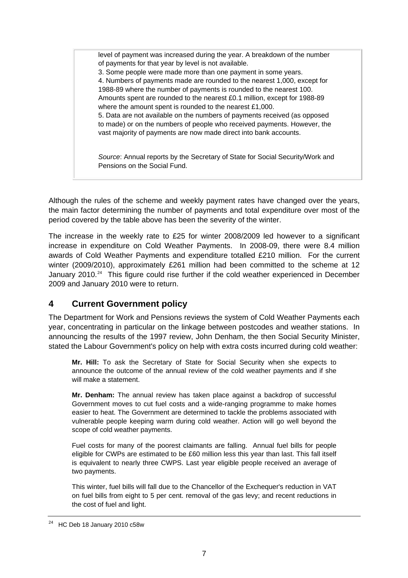<span id="page-6-0"></span>level of payment was increased during the year. A breakdown of the number of payments for that year by level is not available.

3. Some people were made more than one payment in some years.

4. Numbers of payments made are rounded to the nearest 1,000, except for 1988-89 where the number of payments is rounded to the nearest 100. Amounts spent are rounded to the nearest £0.1 million, except for 1988-89 where the amount spent is rounded to the nearest £1,000.

5. Data are not available on the numbers of payments received (as opposed to made) or on the numbers of people who received payments. However, the vast majority of payments are now made direct into bank accounts.

*Source*: Annual reports by the Secretary of State for Social Security/Work and Pensions on the Social Fund.

Although the rules of the scheme and weekly payment rates have changed over the years, the main factor determining the number of payments and total expenditure over most of the period covered by the table above has been the severity of the winter.

The increase in the weekly rate to £25 for winter 2008/2009 led however to a significant increase in expenditure on Cold Weather Payments. In 2008-09, there were 8.4 million awards of Cold Weather Payments and expenditure totalled £210 million. For the current winter (2009/2010), approximately £261 million had been committed to the scheme at 12 January 2010.<sup>[24](#page-6-1)</sup> This figure could rise further if the cold weather experienced in December 2009 and January 2010 were to return.

# **4 Current Government policy**

The Department for Work and Pensions reviews the system of Cold Weather Payments each year, concentrating in particular on the linkage between postcodes and weather stations. In announcing the results of the 1997 review, John Denham, the then Social Security Minister, stated the Labour Government's policy on help with extra costs incurred during cold weather:

**Mr. Hill:** To ask the Secretary of State for Social Security when she expects to announce the outcome of the annual review of the cold weather payments and if she will make a statement.

**Mr. Denham:** The annual review has taken place against a backdrop of successful Government moves to cut fuel costs and a wide-ranging programme to make homes easier to heat. The Government are determined to tackle the problems associated with vulnerable people keeping warm during cold weather. Action will go well beyond the scope of cold weather payments.

Fuel costs for many of the poorest claimants are falling. Annual fuel bills for people eligible for CWPs are estimated to be £60 million less this year than last. This fall itself is equivalent to nearly three CWPS. Last year eligible people received an average of two payments.

This winter, fuel bills will fall due to the Chancellor of the Exchequer's reduction in VAT on fuel bills from eight to 5 per cent. removal of the gas levy; and recent reductions in the cost of fuel and light.

<span id="page-6-1"></span><sup>24</sup> HC Deb 18 January 2010 c58w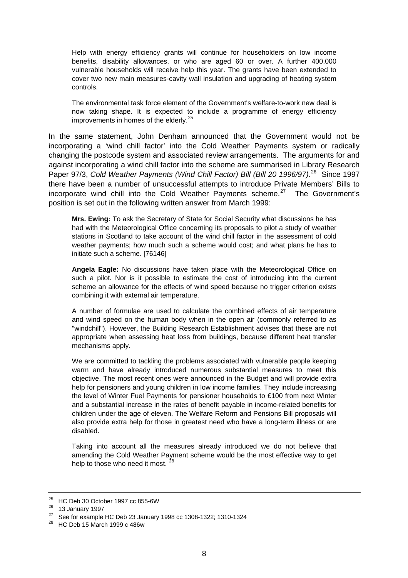Help with energy efficiency grants will continue for householders on low income benefits, disability allowances, or who are aged 60 or over. A further 400,000 vulnerable households will receive help this year. The grants have been extended to cover two new main measures-cavity wall insulation and upgrading of heating system controls.

The environmental task force element of the Government's welfare-to-work new deal is now taking shape. It is expected to include a programme of energy efficiency improvements in homes of the elderly.<sup>[25](#page-7-0)</sup>

In the same statement, John Denham announced that the Government would not be incorporating a 'wind chill factor' into the Cold Weather Payments system or radically changing the postcode system and associated review arrangements. The arguments for and against incorporating a wind chill factor into the scheme are summarised in Library Research Paper 97/3, *Cold Weather Payments (Wind Chill Factor) Bill (Bill 20 1996/97)*. [26](#page-7-1) Since 1997 there have been a number of unsuccessful attempts to introduce Private Members' Bills to incorporate wind chill into the Cold Weather Payments scheme.<sup>[27](#page-7-2)</sup> The Government's position is set out in the following written answer from March 1999:

**Mrs. Ewing:** To ask the Secretary of State for Social Security what discussions he has had with the Meteorological Office concerning its proposals to pilot a study of weather stations in Scotland to take account of the wind chill factor in the assessment of cold weather payments; how much such a scheme would cost; and what plans he has to initiate such a scheme. [76146]

**Angela Eagle:** No discussions have taken place with the Meteorological Office on such a pilot. Nor is it possible to estimate the cost of introducing into the current scheme an allowance for the effects of wind speed because no trigger criterion exists combining it with external air temperature.

A number of formulae are used to calculate the combined effects of air temperature and wind speed on the human body when in the open air (commonly referred to as "windchill"). However, the Building Research Establishment advises that these are not appropriate when assessing heat loss from buildings, because different heat transfer mechanisms apply.

We are committed to tackling the problems associated with vulnerable people keeping warm and have already introduced numerous substantial measures to meet this objective. The most recent ones were announced in the Budget and will provide extra help for pensioners and young children in low income families. They include increasing the level of Winter Fuel Payments for pensioner households to £100 from next Winter and a substantial increase in the rates of benefit payable in income-related benefits for children under the age of eleven. The Welfare Reform and Pensions Bill proposals will also provide extra help for those in greatest need who have a long-term illness or are disabled.

Taking into account all the measures already introduced we do not believe that amending the Cold Weather Payment scheme would be the most effective way to get help to those who need it most. <sup>[28](#page-7-3)</sup>

<span id="page-7-0"></span><sup>25</sup> HC Deb 30 October 1997 cc 855-6W

<span id="page-7-1"></span> $\frac{26}{27}$  13 January 1997

<sup>27</sup> See for example HC Deb 23 January 1998 cc 1308-1322; 1310-1324

<span id="page-7-3"></span><span id="page-7-2"></span><sup>28</sup> HC Deb 15 March 1999 c 486w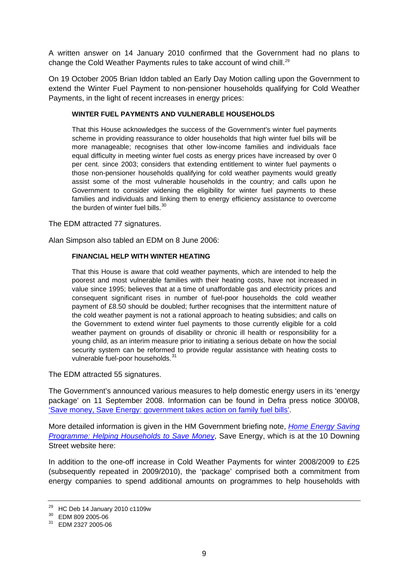A written answer on 14 January 2010 confirmed that the Government had no plans to change the Cold Weather Payments rules to take account of wind chill.<sup>[29](#page-8-0)</sup>

On 19 October 2005 Brian Iddon tabled an Early Day Motion calling upon the Government to extend the Winter Fuel Payment to non-pensioner households qualifying for Cold Weather Payments, in the light of recent increases in energy prices:

#### **WINTER FUEL PAYMENTS AND VULNERABLE HOUSEHOLDS**

That this House acknowledges the success of the Government's winter fuel payments scheme in providing reassurance to older households that high winter fuel bills will be more manageable; recognises that other low-income families and individuals face equal difficulty in meeting winter fuel costs as energy prices have increased by over 0 per cent. since 2003; considers that extending entitlement to winter fuel payments o those non-pensioner households qualifying for cold weather payments would greatly assist some of the most vulnerable households in the country; and calls upon he Government to consider widening the eligibility for winter fuel payments to these families and individuals and linking them to energy efficiency assistance to overcome the burden of winter fuel bills.<sup>[30](#page-8-1)</sup>

The EDM attracted 77 signatures.

Alan Simpson also tabled an EDM on 8 June 2006:

#### **FINANCIAL HELP WITH WINTER HEATING**

That this House is aware that cold weather payments, which are intended to help the poorest and most vulnerable families with their heating costs, have not increased in value since 1995; believes that at a time of unaffordable gas and electricity prices and consequent significant rises in number of fuel-poor households the cold weather payment of £8.50 should be doubled; further recognises that the intermittent nature of the cold weather payment is not a rational approach to heating subsidies; and calls on the Government to extend winter fuel payments to those currently eligible for a cold weather payment on grounds of disability or chronic ill health or responsibility for a young child, as an interim measure prior to initiating a serious debate on how the social security system can be reformed to provide regular assistance with heating costs to vulnerable fuel-poor households.<sup>[31](#page-8-2)</sup>

The EDM attracted 55 signatures.

The Government's announced various measures to help domestic energy users in its 'energy package' on 11 September 2008. Information can be found in Defra press notice 300/08, ['Save money, Save Energy: government takes action on family fuel bills'.](http://www.defra.gov.uk/news/2008/080911a.htm)

More detailed information is given in the HM Government briefing note, *[Home Energy Saving](http://www.number10.gov.uk/wp-content/uploads/energy-saving-programme110908.pdf)  [Programme: Helping Households to Save Money](http://www.number10.gov.uk/wp-content/uploads/energy-saving-programme110908.pdf)*, Save Energy, which is at the 10 Downing Street website here:

In addition to the one-off increase in Cold Weather Payments for winter 2008/2009 to £25 (subsequently repeated in 2009/2010), the 'package' comprised both a commitment from energy companies to spend additional amounts on programmes to help households with

<span id="page-8-0"></span> $29$  HC Deb 14 January 2010 c1109w

<span id="page-8-1"></span><sup>30</sup> EDM 809 2005-06

<span id="page-8-2"></span><sup>31</sup> EDM 2327 2005-06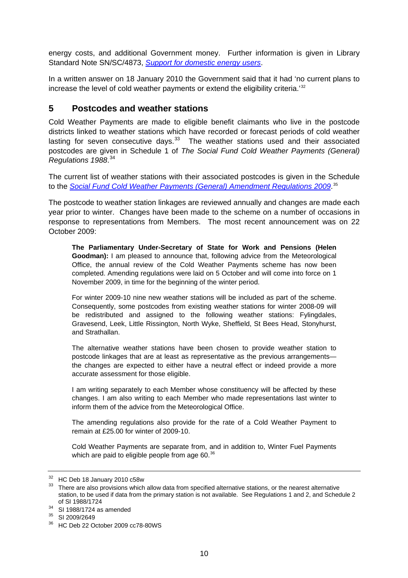<span id="page-9-0"></span>energy costs, and additional Government money. Further information is given in Library Standard Note SN/SC/4873, *[Support for domestic energy users](http://pims.parliament.uk:81/PIMS/Static%20Files/Extended%20File%20Scan%20Files/LIBRARY_OTHER_PAPERS/STANDARD_NOTE/snsc-04873.pdf)*.

In a written answer on 18 January 2010 the Government said that it had 'no current plans to increase the level of cold weather payments or extend the eligibility criteria.'[32](#page-9-1)

### **5 Postcodes and weather stations**

Cold Weather Payments are made to eligible benefit claimants who live in the postcode districts linked to weather stations which have recorded or forecast periods of cold weather lasting for seven consecutive days.  $33$  The weather stations used and their associated postcodes are given in Schedule 1 of *The Social Fund Cold Weather Payments (General) Regulations 1988*. [34](#page-9-3)

The current list of weather stations with their associated postcodes is given in the Schedule to the *[Social Fund Cold Weather Payments \(General\) Amendment Regulations 2009](http://search.opsi.gov.uk/search?enter=0&access=p&output=xml_no_dtd&ie=UTF-8&being=Search&as_epq=The+Social+Fund+Cold+Weather+Payments+(General)+Amendment+Regulations+2009&ud=1&site=L&of=UTF-8&as_occt=any&as_ft=i&client=feed&proxystylesheet=feed&sort=date:D:D:d1&filter=0)*. [35](#page-9-4)

The postcode to weather station linkages are reviewed annually and changes are made each year prior to winter. Changes have been made to the scheme on a number of occasions in response to representations from Members. The most recent announcement was on 22 October 2009:

**The Parliamentary Under-Secretary of State for Work and Pensions (Helen Goodman):** I am pleased to announce that, following advice from the Meteorological Office, the annual review of the Cold Weather Payments scheme has now been completed. Amending regulations were laid on 5 October and will come into force on 1 November 2009, in time for the beginning of the winter period.

For winter 2009-10 nine new weather stations will be included as part of the scheme. Consequently, some postcodes from existing weather stations for winter 2008-09 will be redistributed and assigned to the following weather stations: Fylingdales, Gravesend, Leek, Little Rissington, North Wyke, Sheffield, St Bees Head, Stonyhurst, and Strathallan.

The alternative weather stations have been chosen to provide weather station to postcode linkages that are at least as representative as the previous arrangements the changes are expected to either have a neutral effect or indeed provide a more accurate assessment for those eligible.

I am writing separately to each Member whose constituency will be affected by these changes. I am also writing to each Member who made representations last winter to inform them of the advice from the Meteorological Office.

The amending regulations also provide for the rate of a Cold Weather Payment to remain at £25.00 for winter of 2009-10.

Cold Weather Payments are separate from, and in addition to, Winter Fuel Payments which are paid to eligible people from age  $60.^{36}$  $60.^{36}$  $60.^{36}$ 

<span id="page-9-1"></span><sup>32</sup> HC Deb 18 January 2010 c58w

<span id="page-9-2"></span><sup>&</sup>lt;sup>33</sup> There are also provisions which allow data from specified alternative stations, or the nearest alternative station, to be used if data from the primary station is not available. See Regulations 1 and 2, and Schedule 2

of SI 1988/1724<br><sup>34</sup> SI 1988/1724 as amended

<span id="page-9-4"></span><span id="page-9-3"></span><sup>35</sup> SI 2009/2649

<span id="page-9-5"></span><sup>36</sup> HC Deb 22 October 2009 cc78-80WS